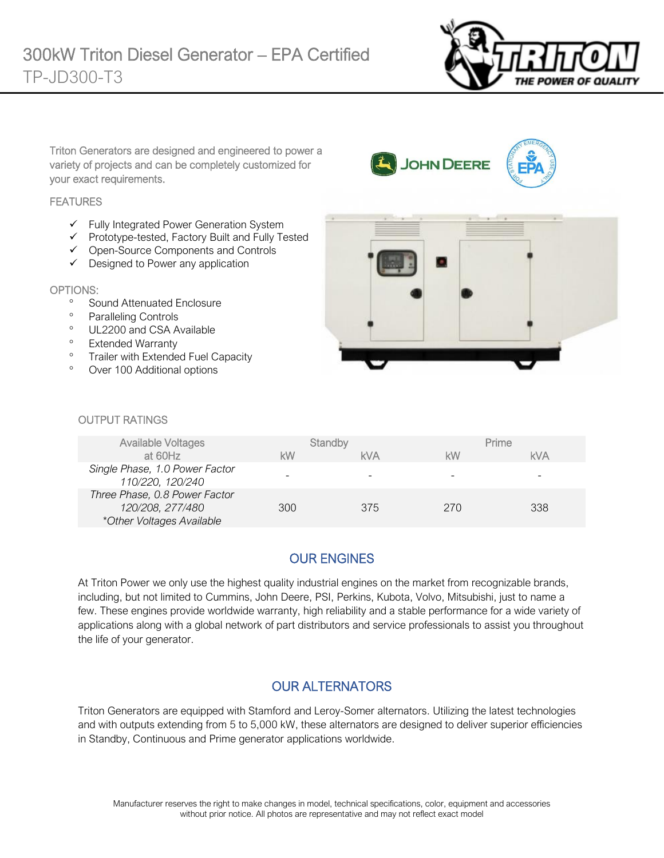

Triton Generators are designed and engineered to power a variety of projects and can be completely customized for your exact requirements.

#### **FEATURES**

- ✓ Fully Integrated Power Generation System
- ✓ Prototype-tested, Factory Built and Fully Tested
- ✓ Open-Source Components and Controls
- ✓ Designed to Power any application

#### OPTIONS:

- <sup>o</sup> Sound Attenuated Enclosure
- <sup>o</sup> Paralleling Controls
- <sup>o</sup> UL2200 and CSA Available
- <sup>o</sup> Extended Warranty
- <sup>o</sup> Trailer with Extended Fuel Capacity
- Over 100 Additional options



JOHN DEERE

#### OUTPUT RATINGS

| Available Voltages                                                             |     | Standby    |     | Prime      |
|--------------------------------------------------------------------------------|-----|------------|-----|------------|
| at 60Hz                                                                        | kW  | <b>kVA</b> | kW  | <b>kVA</b> |
| Single Phase, 1.0 Power Factor<br>110/220, 120/240                             |     |            | -   | -          |
| Three Phase, 0.8 Power Factor<br>120/208, 277/480<br>*Other Voltages Available | 300 | 375        | 270 | 338        |

# OUR ENGINES

At Triton Power we only use the highest quality industrial engines on the market from recognizable brands, including, but not limited to Cummins, John Deere, PSI, Perkins, Kubota, Volvo, Mitsubishi, just to name a few. These engines provide worldwide warranty, high reliability and a stable performance for a wide variety of applications along with a global network of part distributors and service professionals to assist you throughout the life of your generator.

### OUR ALTERNATORS

Triton Generators are equipped with Stamford and Leroy-Somer alternators. Utilizing the latest technologies and with outputs extending from 5 to 5,000 kW, these alternators are designed to deliver superior efficiencies in Standby, Continuous and Prime generator applications worldwide.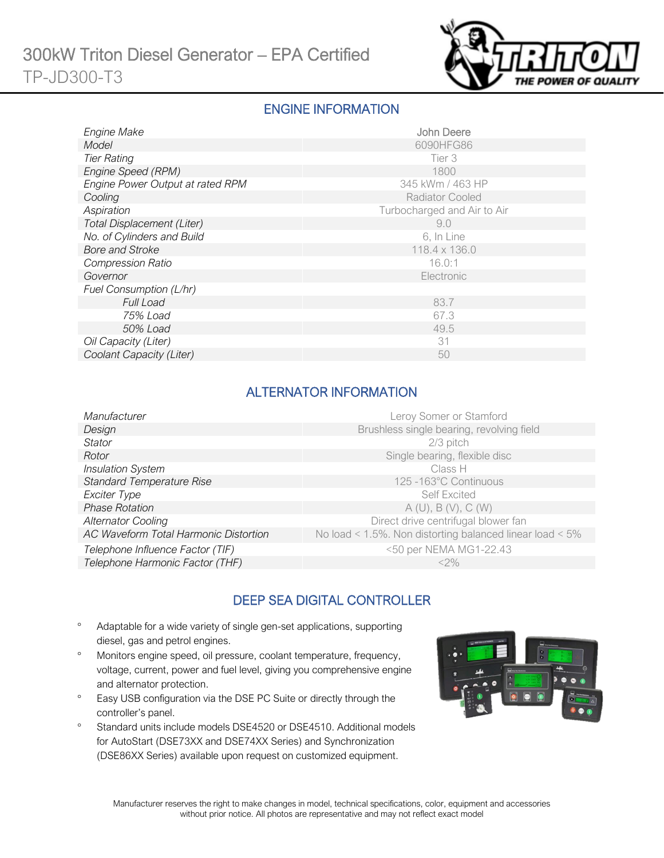

#### ENGINE INFORMATION

| Engine Make                      | John Deere                  |
|----------------------------------|-----------------------------|
| Model                            | 6090HFG86                   |
| <b>Tier Rating</b>               | Tier 3                      |
| Engine Speed (RPM)               | 1800                        |
| Engine Power Output at rated RPM | 345 kWm / 463 HP            |
| Cooling                          | <b>Radiator Cooled</b>      |
| Aspiration                       | Turbocharged and Air to Air |
| Total Displacement (Liter)       | 9.0                         |
| No. of Cylinders and Build       | 6, In Line                  |
| <b>Bore and Stroke</b>           | 118.4 x 136.0               |
| <b>Compression Ratio</b>         | 16.0:1                      |
| Governor                         | Electronic                  |
| Fuel Consumption (L/hr)          |                             |
| <b>Full Load</b>                 | 83.7                        |
| 75% Load                         | 67.3                        |
| 50% Load                         | 49.5                        |
| Oil Capacity (Liter)             | 31                          |
| Coolant Capacity (Liter)         | 50                          |

## ALTERNATOR INFORMATION

| Manufacturer                          | Leroy Somer or Stamford                                         |
|---------------------------------------|-----------------------------------------------------------------|
| Design                                | Brushless single bearing, revolving field                       |
| Stator                                | $2/3$ pitch                                                     |
| Rotor                                 | Single bearing, flexible disc                                   |
| <b>Insulation System</b>              | Class H                                                         |
| <b>Standard Temperature Rise</b>      | 125 -163°C Continuous                                           |
| Exciter Type                          | <b>Self Excited</b>                                             |
| <b>Phase Rotation</b>                 | A(U), B(V), C(W)                                                |
| <b>Alternator Cooling</b>             | Direct drive centrifugal blower fan                             |
| AC Waveform Total Harmonic Distortion | No load < $1.5\%$ . Non distorting balanced linear load < $5\%$ |
| Telephone Influence Factor (TIF)      | <50 per NEMA MG1-22.43                                          |
| Telephone Harmonic Factor (THF)       | $<$ 2%                                                          |
|                                       |                                                                 |

# DEEP SEA DIGITAL CONTROLLER

- Adaptable for a wide variety of single gen-set applications, supporting diesel, gas and petrol engines.
- Monitors engine speed, oil pressure, coolant temperature, frequency, voltage, current, power and fuel level, giving you comprehensive engine and alternator protection.
- <sup>o</sup> Easy USB configuration via the DSE PC Suite or directly through the controller's panel.
- <sup>o</sup> Standard units include models DSE4520 or DSE4510. Additional models for AutoStart (DSE73XX and DSE74XX Series) and Synchronization (DSE86XX Series) available upon request on customized equipment.

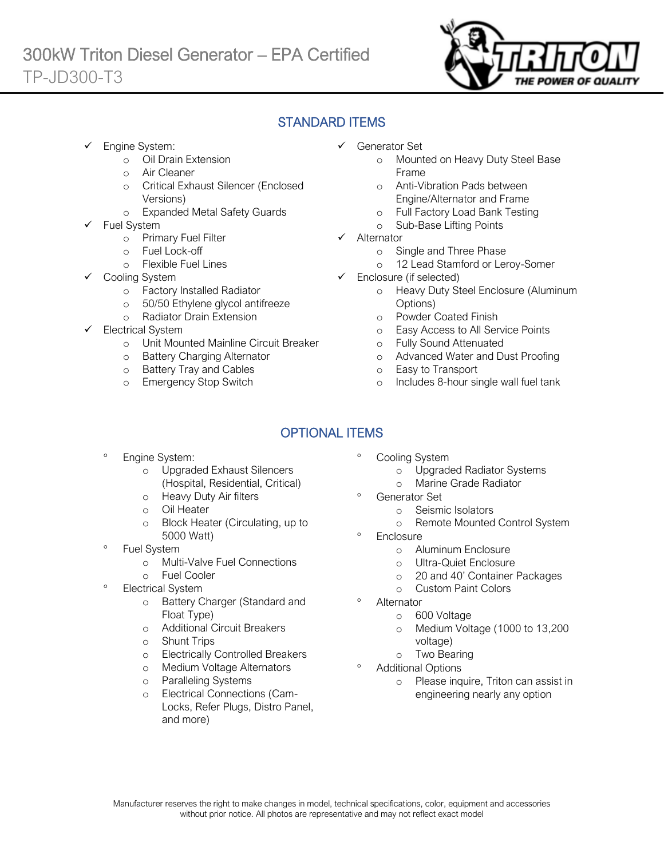

### STANDARD ITEMS

Engine System:

Ī

- o Oil Drain Extension
- o Air Cleaner
- o Critical Exhaust Silencer (Enclosed Versions)
- o Expanded Metal Safety Guards
- Fuel System
	- o Primary Fuel Filter
	- o Fuel Lock-off
		- o Flexible Fuel Lines
	- Cooling System
		- o Factory Installed Radiator
		- o 50/50 Ethylene glycol antifreeze
		- o Radiator Drain Extension
- Electrical System
	- o Unit Mounted Mainline Circuit Breaker
	- o Battery Charging Alternator
	- o Battery Tray and Cables
	- o Emergency Stop Switch
- ✓ Generator Set
	- o Mounted on Heavy Duty Steel Base Frame
	- o Anti-Vibration Pads between Engine/Alternator and Frame
	- o Full Factory Load Bank Testing
	- o Sub-Base Lifting Points
- ✓ Alternator
	- o Single and Three Phase
	- o 12 Lead Stamford or Leroy-Somer
- ✓ Enclosure (if selected)
	- o Heavy Duty Steel Enclosure (Aluminum Options)
	- o Powder Coated Finish
	- o Easy Access to All Service Points
	- o Fully Sound Attenuated
	- o Advanced Water and Dust Proofing
	- o Easy to Transport
	- o Includes 8-hour single wall fuel tank

# OPTIONAL ITEMS

- Engine System:
	- o Upgraded Exhaust Silencers (Hospital, Residential, Critical)
	- o Heavy Duty Air filters
	- o Oil Heater
	- o Block Heater (Circulating, up to 5000 Watt)
- Fuel System
	- o Multi-Valve Fuel Connections
	- o Fuel Cooler
- Electrical System
	- o Battery Charger (Standard and Float Type)
	- o Additional Circuit Breakers
	- o Shunt Trips
	- o Electrically Controlled Breakers
	- o Medium Voltage Alternators
	- o Paralleling Systems
	- o Electrical Connections (Cam-Locks, Refer Plugs, Distro Panel, and more)
- Cooling System
	- o Upgraded Radiator Systems
	- o Marine Grade Radiator
	- Generator Set
		- o Seismic Isolators
		- o Remote Mounted Control System
- **Enclosure** 
	- o Aluminum Enclosure
	- o Ultra-Quiet Enclosure
	- o 20 and 40' Container Packages
	- o Custom Paint Colors
- Alternator
	- o 600 Voltage
	- o Medium Voltage (1000 to 13,200 voltage)
	- o Two Bearing
- Additional Options
	- o Please inquire, Triton can assist in engineering nearly any option